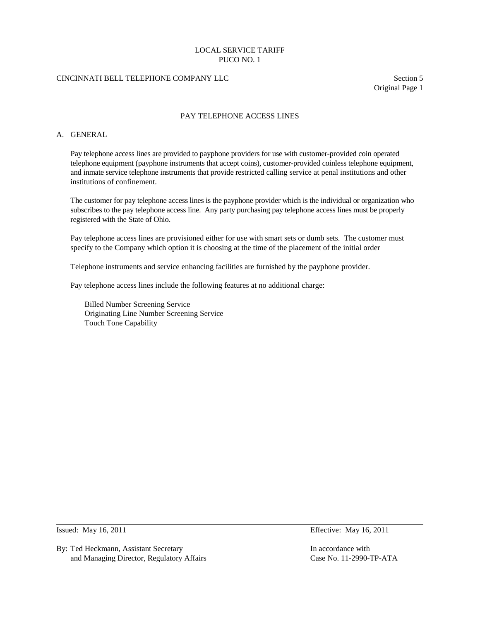# CINCINNATI BELL TELEPHONE COMPANY LLC Section 5

Original Page 1

# PAY TELEPHONE ACCESS LINES

# A. GENERAL

Pay telephone access lines are provided to payphone providers for use with customer-provided coin operated telephone equipment (payphone instruments that accept coins), customer-provided coinless telephone equipment, and inmate service telephone instruments that provide restricted calling service at penal institutions and other institutions of confinement.

The customer for pay telephone access lines is the payphone provider which is the individual or organization who subscribes to the pay telephone access line. Any party purchasing pay telephone access lines must be properly registered with the State of Ohio.

Pay telephone access lines are provisioned either for use with smart sets or dumb sets. The customer must specify to the Company which option it is choosing at the time of the placement of the initial order

Telephone instruments and service enhancing facilities are furnished by the payphone provider.

Pay telephone access lines include the following features at no additional charge:

Billed Number Screening Service Originating Line Number Screening Service Touch Tone Capability

By: Ted Heckmann, Assistant Secretary **In accordance with** In accordance with and Managing Director, Regulatory Affairs Case No. 11-2990-TP-ATA

Issued: May 16, 2011 Effective: May 16, 2011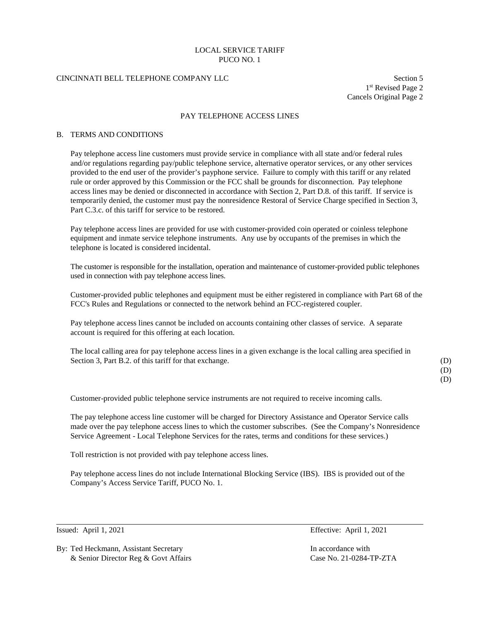# CINCINNATI BELL TELEPHONE COMPANY LLC Section 5

1st Revised Page 2 Cancels Original Page 2

### PAY TELEPHONE ACCESS LINES

#### B. TERMS AND CONDITIONS

Pay telephone access line customers must provide service in compliance with all state and/or federal rules and/or regulations regarding pay/public telephone service, alternative operator services, or any other services provided to the end user of the provider's payphone service. Failure to comply with this tariff or any related rule or order approved by this Commission or the FCC shall be grounds for disconnection. Pay telephone access lines may be denied or disconnected in accordance with Section 2, Part D.8. of this tariff. If service is temporarily denied, the customer must pay the nonresidence Restoral of Service Charge specified in Section 3, Part C.3.c. of this tariff for service to be restored.

Pay telephone access lines are provided for use with customer-provided coin operated or coinless telephone equipment and inmate service telephone instruments. Any use by occupants of the premises in which the telephone is located is considered incidental.

The customer is responsible for the installation, operation and maintenance of customer-provided public telephones used in connection with pay telephone access lines.

Customer-provided public telephones and equipment must be either registered in compliance with Part 68 of the FCC's Rules and Regulations or connected to the network behind an FCC-registered coupler.

Pay telephone access lines cannot be included on accounts containing other classes of service. A separate account is required for this offering at each location.

The local calling area for pay telephone access lines in a given exchange is the local calling area specified in Section 3, Part B.2. of this tariff for that exchange. (D)

(D)

(D)

Customer-provided public telephone service instruments are not required to receive incoming calls.

The pay telephone access line customer will be charged for Directory Assistance and Operator Service calls made over the pay telephone access lines to which the customer subscribes. (See the Company's Nonresidence Service Agreement - Local Telephone Services for the rates, terms and conditions for these services.)

Toll restriction is not provided with pay telephone access lines.

Pay telephone access lines do not include International Blocking Service (IBS). IBS is provided out of the Company's Access Service Tariff, PUCO No. 1.

By: Ted Heckmann, Assistant Secretary In accordance with In accordance with & Senior Director Reg & Govt Affairs Case No. 21-0284-TP-ZTA

Issued: April 1, 2021 Effective: April 1, 2021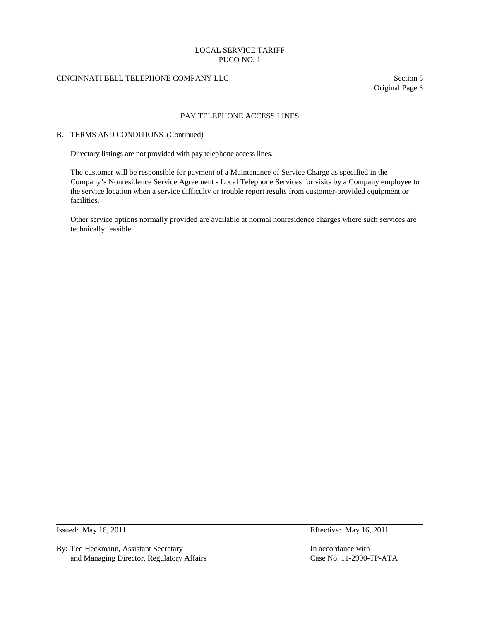# CINCINNATI BELL TELEPHONE COMPANY LLC Section 5

Original Page 3

### PAY TELEPHONE ACCESS LINES

#### B. TERMS AND CONDITIONS (Continued)

Directory listings are not provided with pay telephone access lines.

The customer will be responsible for payment of a Maintenance of Service Charge as specified in the Company's Nonresidence Service Agreement - Local Telephone Services for visits by a Company employee to the service location when a service difficulty or trouble report results from customer-provided equipment or facilities.

Other service options normally provided are available at normal nonresidence charges where such services are technically feasible.

By: Ted Heckmann, Assistant Secretary **In accordance with** In accordance with and Managing Director, Regulatory Affairs Case No. 11-2990-TP-ATA

Issued: May 16, 2011 **Effective: May 16, 2011**